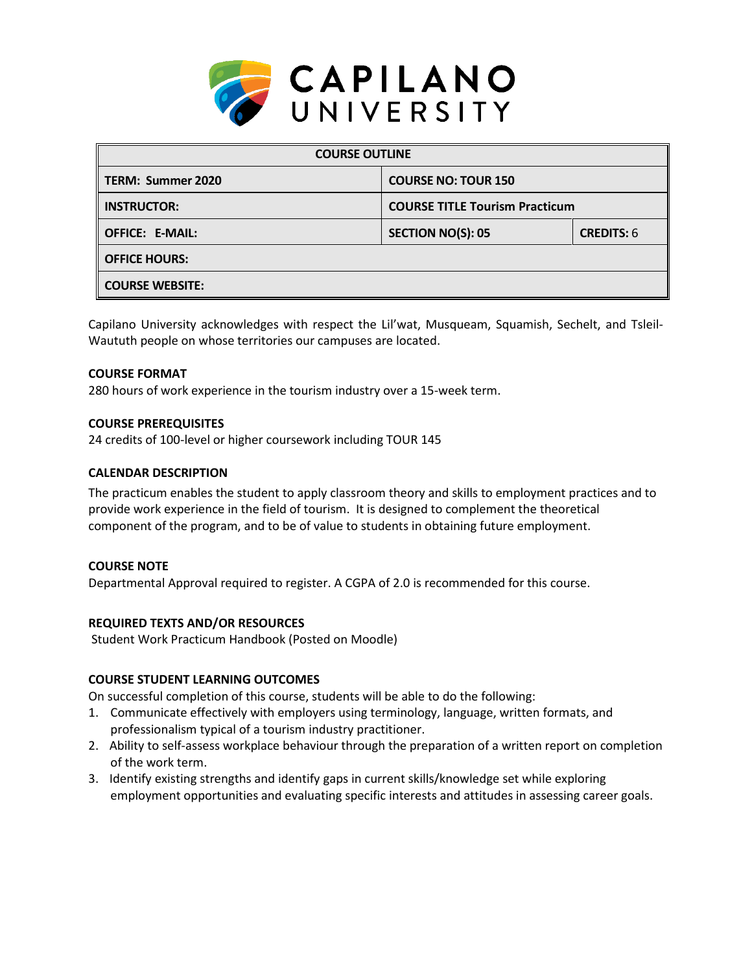

| <b>COURSE OUTLINE</b>  |                                       |                   |  |  |
|------------------------|---------------------------------------|-------------------|--|--|
| TERM: Summer 2020      | <b>COURSE NO: TOUR 150</b>            |                   |  |  |
| <b>INSTRUCTOR:</b>     | <b>COURSE TITLE Tourism Practicum</b> |                   |  |  |
| <b>OFFICE: E-MAIL:</b> | <b>SECTION NO(S): 05</b>              | <b>CREDITS: 6</b> |  |  |
| <b>OFFICE HOURS:</b>   |                                       |                   |  |  |
| <b>COURSE WEBSITE:</b> |                                       |                   |  |  |

Capilano University acknowledges with respect the Lil'wat, Musqueam, Squamish, Sechelt, and Tsleil-Waututh people on whose territories our campuses are located.

#### **COURSE FORMAT**

280 hours of work experience in the tourism industry over a 15-week term.

#### **COURSE PREREQUISITES**

24 credits of 100-level or higher coursework including TOUR 145

#### **CALENDAR DESCRIPTION**

The practicum enables the student to apply classroom theory and skills to employment practices and to provide work experience in the field of tourism. It is designed to complement the theoretical component of the program, and to be of value to students in obtaining future employment.

#### **COURSE NOTE**

Departmental Approval required to register. A CGPA of 2.0 is recommended for this course.

#### **REQUIRED TEXTS AND/OR RESOURCES**

Student Work Practicum Handbook (Posted on Moodle)

#### **COURSE STUDENT LEARNING OUTCOMES**

On successful completion of this course, students will be able to do the following:

- 1. Communicate effectively with employers using terminology, language, written formats, and professionalism typical of a tourism industry practitioner.
- 2. Ability to self-assess workplace behaviour through the preparation of a written report on completion of the work term.
- 3. Identify existing strengths and identify gaps in current skills/knowledge set while exploring employment opportunities and evaluating specific interests and attitudes in assessing career goals.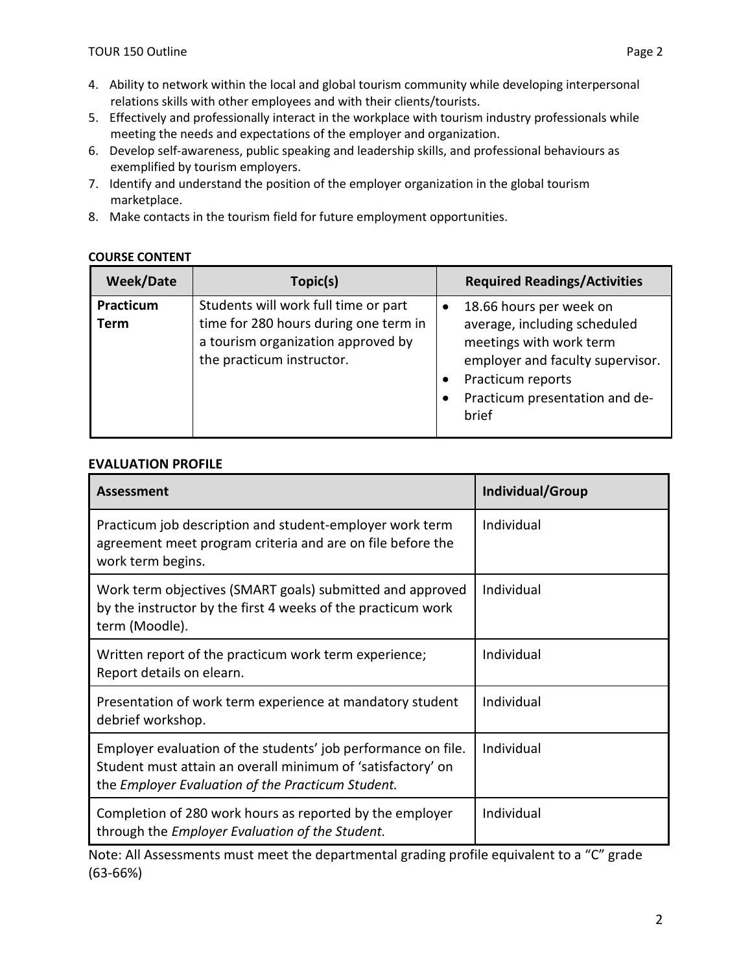- 4. Ability to network within the local and global tourism community while developing interpersonal relations skills with other employees and with their clients/tourists.
- 5. Effectively and professionally interact in the workplace with tourism industry professionals while meeting the needs and expectations of the employer and organization.
- 6. Develop self-awareness, public speaking and leadership skills, and professional behaviours as exemplified by tourism employers.
- 7. Identify and understand the position of the employer organization in the global tourism marketplace.
- 8. Make contacts in the tourism field for future employment opportunities.

# **COURSE CONTENT**

| <b>Week/Date</b>  | Topic(s)                                                                                                                                         |   | <b>Required Readings/Activities</b>                                                                                                                                                    |
|-------------------|--------------------------------------------------------------------------------------------------------------------------------------------------|---|----------------------------------------------------------------------------------------------------------------------------------------------------------------------------------------|
| Practicum<br>Term | Students will work full time or part<br>time for 280 hours during one term in<br>a tourism organization approved by<br>the practicum instructor. | ٠ | 18.66 hours per week on<br>average, including scheduled<br>meetings with work term<br>employer and faculty supervisor.<br>Practicum reports<br>Practicum presentation and de-<br>brief |

## **EVALUATION PROFILE**

| <b>Assessment</b>                                                                                                                                                                 | Individual/Group |
|-----------------------------------------------------------------------------------------------------------------------------------------------------------------------------------|------------------|
| Practicum job description and student-employer work term<br>agreement meet program criteria and are on file before the<br>work term begins.                                       | Individual       |
| Work term objectives (SMART goals) submitted and approved<br>by the instructor by the first 4 weeks of the practicum work<br>term (Moodle).                                       | Individual       |
| Written report of the practicum work term experience;<br>Report details on elearn.                                                                                                | Individual       |
| Presentation of work term experience at mandatory student<br>debrief workshop.                                                                                                    | Individual       |
| Employer evaluation of the students' job performance on file.<br>Student must attain an overall minimum of 'satisfactory' on<br>the Employer Evaluation of the Practicum Student. | Individual       |
| Completion of 280 work hours as reported by the employer<br>through the Employer Evaluation of the Student.                                                                       | Individual       |

Note: All Assessments must meet the departmental grading profile equivalent to a "C" grade (63-66%)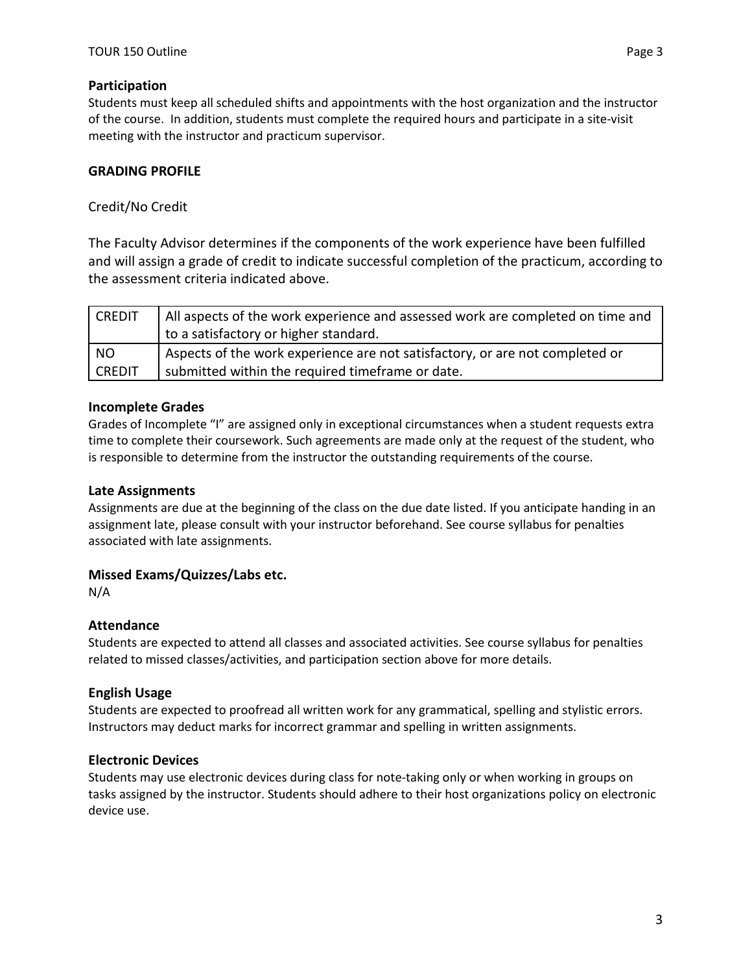## **Participation**

Students must keep all scheduled shifts and appointments with the host organization and the instructor of the course. In addition, students must complete the required hours and participate in a site-visit meeting with the instructor and practicum supervisor.

# **GRADING PROFILE**

# Credit/No Credit

The Faculty Advisor determines if the components of the work experience have been fulfilled and will assign a grade of credit to indicate successful completion of the practicum, according to the assessment criteria indicated above.

| <b>CREDIT</b> | All aspects of the work experience and assessed work are completed on time and |
|---------------|--------------------------------------------------------------------------------|
|               | to a satisfactory or higher standard.                                          |
| NO.           | Aspects of the work experience are not satisfactory, or are not completed or   |
| <b>CREDIT</b> | submitted within the required timeframe or date.                               |

## **Incomplete Grades**

Grades of Incomplete "I" are assigned only in exceptional circumstances when a student requests extra time to complete their coursework. Such agreements are made only at the request of the student, who is responsible to determine from the instructor the outstanding requirements of the course.

## **Late Assignments**

Assignments are due at the beginning of the class on the due date listed. If you anticipate handing in an assignment late, please consult with your instructor beforehand. See course syllabus for penalties associated with late assignments.

## **Missed Exams/Quizzes/Labs etc.**

N/A

## **Attendance**

Students are expected to attend all classes and associated activities. See course syllabus for penalties related to missed classes/activities, and participation section above for more details.

## **English Usage**

Students are expected to proofread all written work for any grammatical, spelling and stylistic errors. Instructors may deduct marks for incorrect grammar and spelling in written assignments.

## **Electronic Devices**

Students may use electronic devices during class for note-taking only or when working in groups on tasks assigned by the instructor. Students should adhere to their host organizations policy on electronic device use.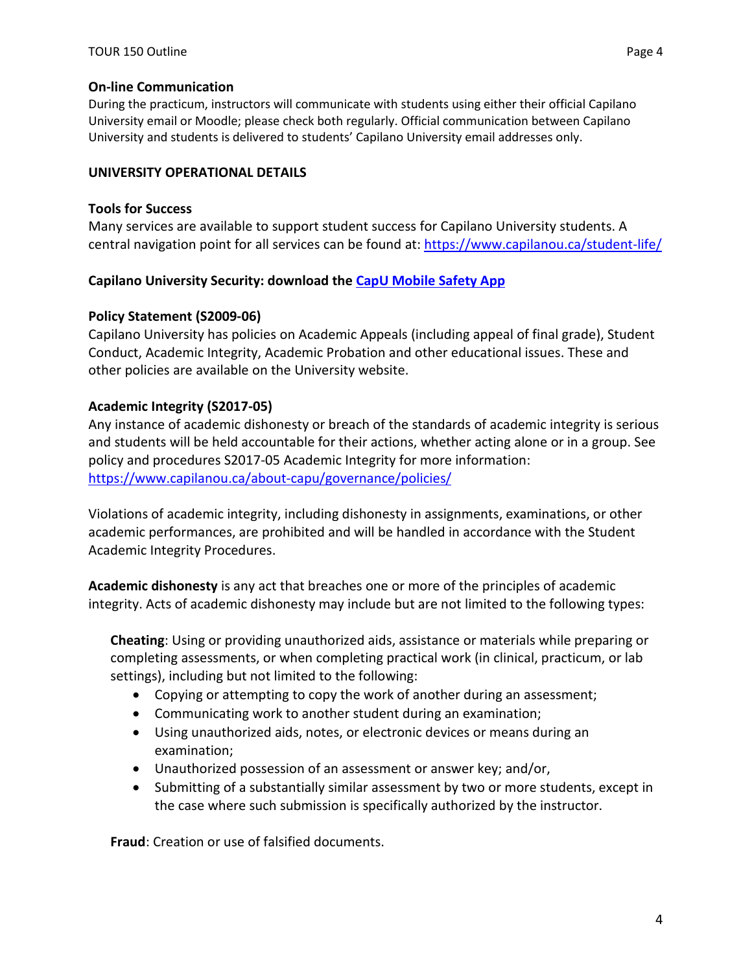#### **On-line Communication**

During the practicum, instructors will communicate with students using either their official Capilano University email or Moodle; please check both regularly. Official communication between Capilano University and students is delivered to students' Capilano University email addresses only.

#### **UNIVERSITY OPERATIONAL DETAILS**

#### **Tools for Success**

Many services are available to support student success for Capilano University students. A central navigation point for all services can be found at:<https://www.capilanou.ca/student-life/>

## **Capilano University Security: download the [CapU Mobile Safety App](https://www.capilanou.ca/student-life/support--wellness/safety--security/capu-safe-app/)**

## **Policy Statement (S2009-06)**

Capilano University has policies on Academic Appeals (including appeal of final grade), Student Conduct, Academic Integrity, Academic Probation and other educational issues. These and other policies are available on the University website.

## **Academic Integrity (S2017-05)**

Any instance of academic dishonesty or breach of the standards of academic integrity is serious and students will be held accountable for their actions, whether acting alone or in a group. See policy and procedures S2017-05 Academic Integrity for more information: <https://www.capilanou.ca/about-capu/governance/policies/>

Violations of academic integrity, including dishonesty in assignments, examinations, or other academic performances, are prohibited and will be handled in accordance with the Student Academic Integrity Procedures.

**Academic dishonesty** is any act that breaches one or more of the principles of academic integrity. Acts of academic dishonesty may include but are not limited to the following types:

**Cheating**: Using or providing unauthorized aids, assistance or materials while preparing or completing assessments, or when completing practical work (in clinical, practicum, or lab settings), including but not limited to the following:

- Copying or attempting to copy the work of another during an assessment;
- Communicating work to another student during an examination;
- Using unauthorized aids, notes, or electronic devices or means during an examination;
- Unauthorized possession of an assessment or answer key; and/or,
- Submitting of a substantially similar assessment by two or more students, except in the case where such submission is specifically authorized by the instructor.

**Fraud**: Creation or use of falsified documents.